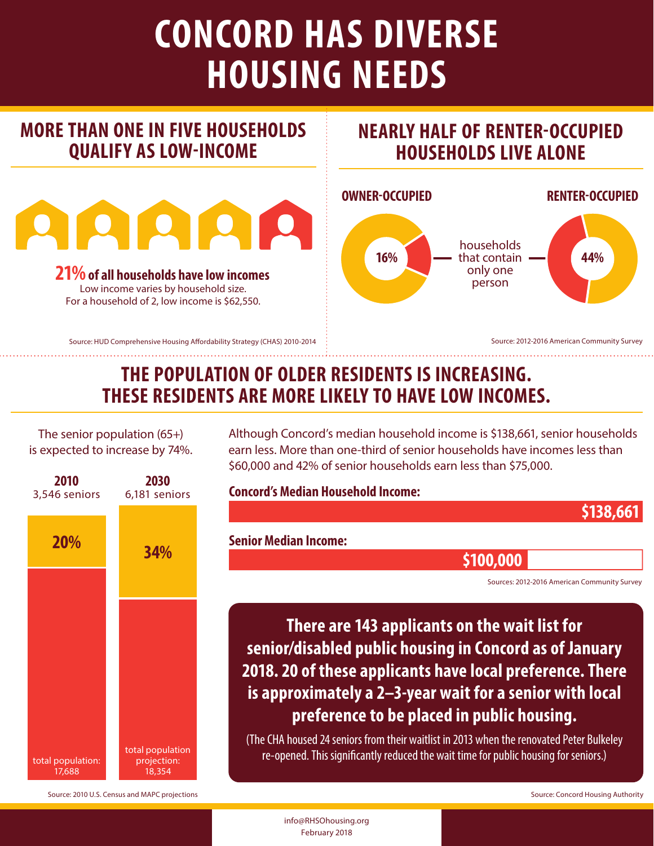# **CONCORD HAS DIVERSE HOUSING NEEDS**

# **MORE THAN ONE IN FIVE HOUSEHOLDS QUALIFY AS LOW-INCOME**



#### **21%of all households have low incomes**

Low income varies by household size. For a household of 2, low income is \$62,550.

Source: HUD Comprehensive Housing Affordability Strategy (CHAS) 2010-2014

#### **NEARLY HALF OF RENTER-OCCUPIED HOUSEHOLDS LIVE ALONE**



Source: 2012-2016 American Community Survey

# **THE POPULATION OF OLDER RESIDENTS IS INCREASING. THESE RESIDENTS ARE MORE LIKELY TO HAVE LOW INCOMES.**

The senior population (65+) is expected to increase by 74%.



Although Concord's median household income is \$138,661, senior households earn less. More than one-third of senior households have incomes less than \$60,000 and 42% of senior households earn less than \$75,000.

#### **Concord's Median Household Income:**

**\$138,661**

#### **Senior Median Income:**

**\$100,000**

Sources: 2012-2016 American Community Survey

**There are 143 applicants on the wait list for senior/disabled public housing in Concord as of January 2018. 20 of these applicants have local preference. There is approximately a 2–3-year wait for a senior with local preference to be placed in public housing.**

(The CHA housed 24 seniors from their waitlist in 2013 when the renovated Peter Bulkeley re-opened. This significantly reduced the wait time for public housing for seniors.)

Source: 2010 U.S. Census and MAPC projections  $\sim$  Source: Concord Housing Authority

info@RHSOhousing.org February 2018